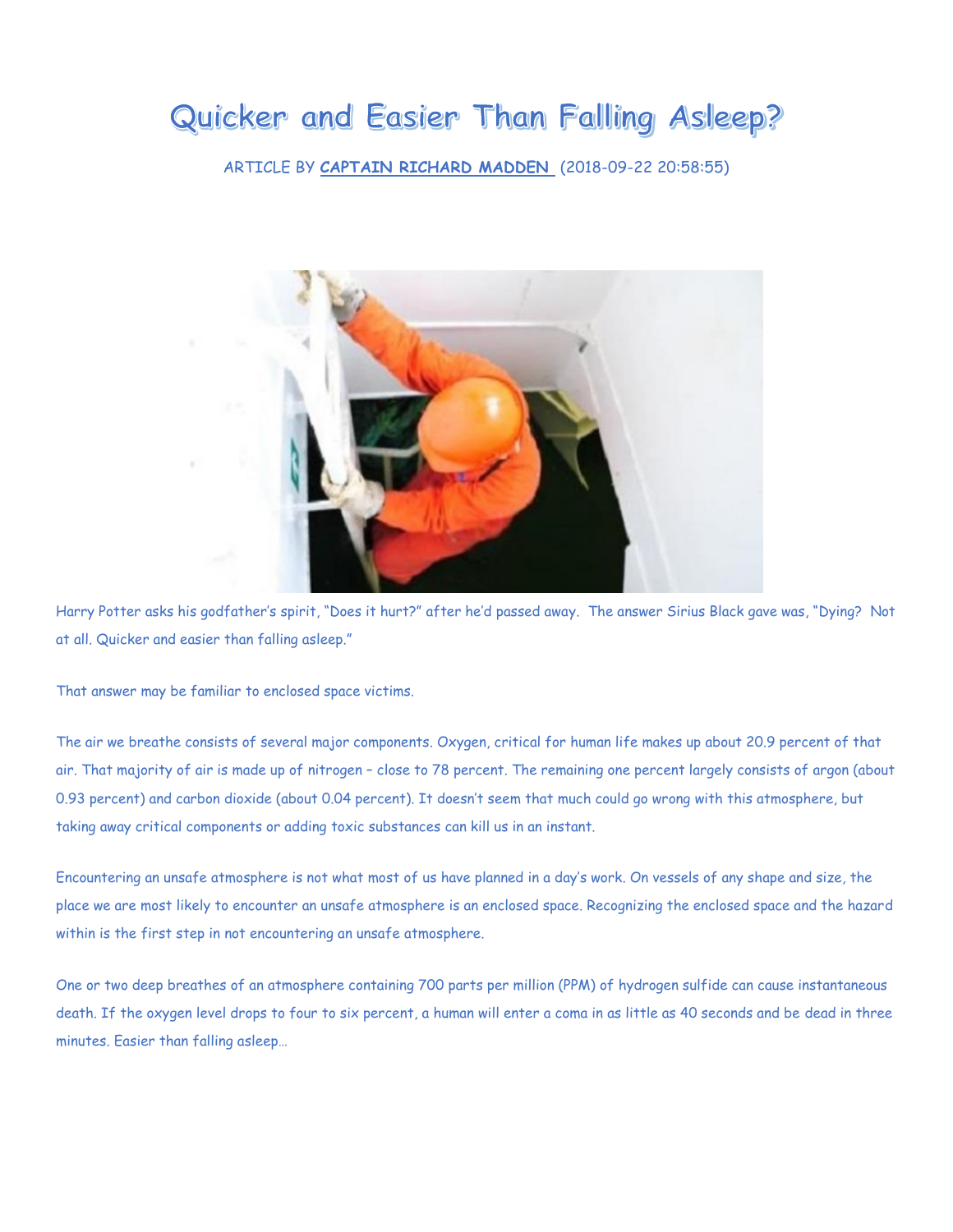## Quicker and Easier Than Falling Asleep?

ARTICLE BY **[CAPTAIN RICHARD MADDEN](https://maritime-executive.com/author/captain-richard-madden)** (2018-09-22 20:58:55)



Harry Potter asks his godfather's spirit, "Does it hurt?" after he'd passed away. The answer Sirius Black gave was, "Dying? Not at all. Quicker and easier than falling asleep."

That answer may be familiar to enclosed space victims.

The air we breathe consists of several major components. Oxygen, critical for human life makes up about 20.9 percent of that air. That majority of air is made up of nitrogen – close to 78 percent. The remaining one percent largely consists of argon (about 0.93 percent) and carbon dioxide (about 0.04 percent). It doesn't seem that much could go wrong with this atmosphere, but taking away critical components or adding toxic substances can kill us in an instant.

Encountering an unsafe atmosphere is not what most of us have planned in a day's work. On vessels of any shape and size, the place we are most likely to encounter an unsafe atmosphere is an enclosed space. Recognizing the enclosed space and the hazard within is the first step in not encountering an unsafe atmosphere.

One or two deep breathes of an atmosphere containing 700 parts per million (PPM) of hydrogen sulfide can cause instantaneous death. If the oxygen level drops to four to six percent, a human will enter a coma in as little as 40 seconds and be dead in three minutes. Easier than falling asleep…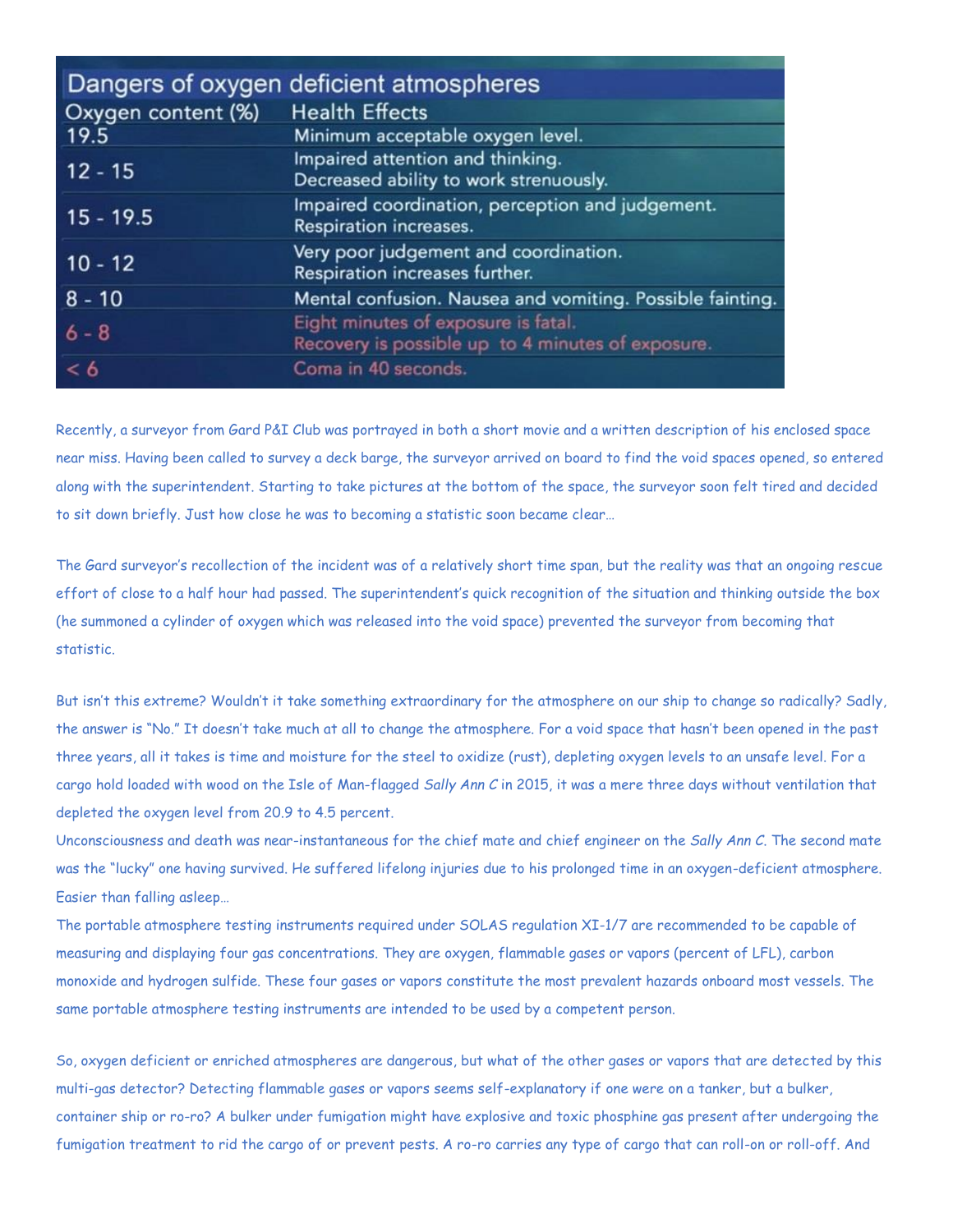|                    | Dangers of oxygen deficient atmospheres                                                  |
|--------------------|------------------------------------------------------------------------------------------|
| Oxygen content (%) | <b>Health Effects</b>                                                                    |
| 19.5               | Minimum acceptable oxygen level.                                                         |
| $12 - 15$          | Impaired attention and thinking.<br>Decreased ability to work strenuously.               |
|                    |                                                                                          |
| $15 - 19.5$        | Impaired coordination, perception and judgement.<br>Respiration increases.               |
| $10 - 12$          | Very poor judgement and coordination.<br>Respiration increases further.                  |
| $8 - 10$           | Mental confusion. Nausea and vomiting. Possible fainting.                                |
| $6 - 8$            | Eight minutes of exposure is fatal.<br>Recovery is possible up to 4 minutes of exposure. |
| < 6                | Coma in 40 seconds.                                                                      |

Recently, a surveyor from Gard P&I Club was portrayed in both a short movie and a written description of his enclosed space near miss. Having been called to survey a deck barge, the surveyor arrived on board to find the void spaces opened, so entered along with the superintendent. Starting to take pictures at the bottom of the space, the surveyor soon felt tired and decided to sit down briefly. Just how close he was to becoming a statistic soon became clear…

The Gard surveyor's recollection of the incident was of a relatively short time span, but the reality was that an ongoing rescue effort of close to a half hour had passed. The superintendent's quick recognition of the situation and thinking outside the box (he summoned a cylinder of oxygen which was released into the void space) prevented the surveyor from becoming that statistic.

But isn't this extreme? Wouldn't it take something extraordinary for the atmosphere on our ship to change so radically? Sadly, the answer is "No." It doesn't take much at all to change the atmosphere. For a void space that hasn't been opened in the past three years, all it takes is time and moisture for the steel to oxidize (rust), depleting oxygen levels to an unsafe level. For a cargo hold loaded with wood on the Isle of Man-flagged *Sally Ann C* in 2015, it was a mere three days without ventilation that depleted the oxygen level from 20.9 to 4.5 percent.

Unconsciousness and death was near-instantaneous for the chief mate and chief engineer on the *Sally Ann C*. The second mate was the "lucky" one having survived. He suffered lifelong injuries due to his prolonged time in an oxygen-deficient atmosphere. Easier than falling asleep…

The portable atmosphere testing instruments required under SOLAS regulation XI-1/7 are recommended to be capable of measuring and displaying four gas concentrations. They are oxygen, flammable gases or vapors (percent of LFL), carbon monoxide and hydrogen sulfide. These four gases or vapors constitute the most prevalent hazards onboard most vessels. The same portable atmosphere testing instruments are intended to be used by a competent person.

So, oxygen deficient or enriched atmospheres are dangerous, but what of the other gases or vapors that are detected by this multi-gas detector? Detecting flammable gases or vapors seems self-explanatory if one were on a tanker, but a bulker, container ship or ro-ro? A bulker under fumigation might have explosive and toxic phosphine gas present after undergoing the fumigation treatment to rid the cargo of or prevent pests. A ro-ro carries any type of cargo that can roll-on or roll-off. And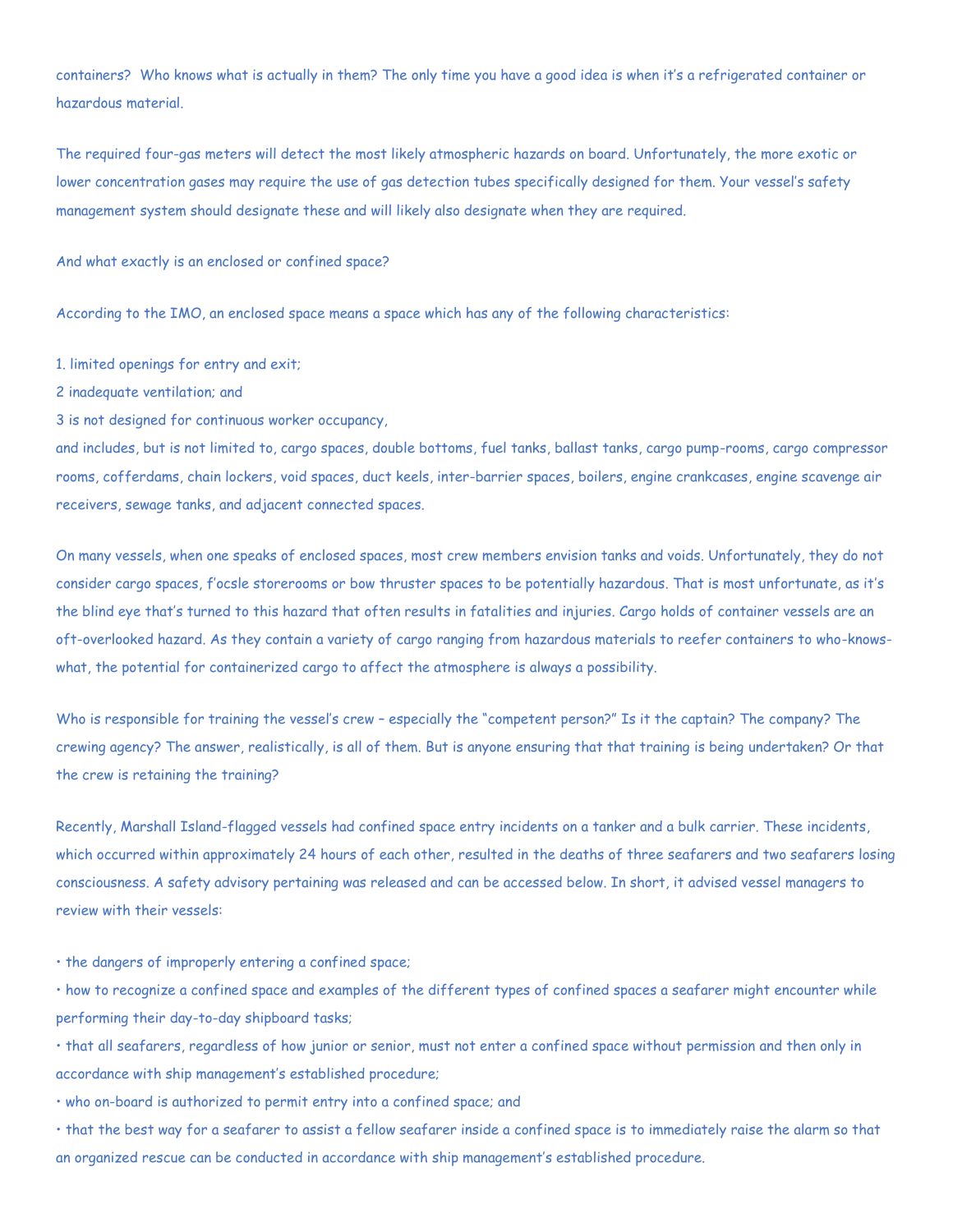containers? Who knows what is actually in them? The only time you have a good idea is when it's a refrigerated container or hazardous material.

The required four-gas meters will detect the most likely atmospheric hazards on board. Unfortunately, the more exotic or lower concentration gases may require the use of gas detection tubes specifically designed for them. Your vessel's safety management system should designate these and will likely also designate when they are required.

And what exactly is an enclosed or confined space?

According to the IMO, an enclosed space means a space which has any of the following characteristics:

1. limited openings for entry and exit;

2 inadequate ventilation; and

3 is not designed for continuous worker occupancy,

and includes, but is not limited to, cargo spaces, double bottoms, fuel tanks, ballast tanks, cargo pump-rooms, cargo compressor rooms, cofferdams, chain lockers, void spaces, duct keels, inter-barrier spaces, boilers, engine crankcases, engine scavenge air receivers, sewage tanks, and adjacent connected spaces.

On many vessels, when one speaks of enclosed spaces, most crew members envision tanks and voids. Unfortunately, they do not consider cargo spaces, f'ocsle storerooms or bow thruster spaces to be potentially hazardous. That is most unfortunate, as it's the blind eye that's turned to this hazard that often results in fatalities and injuries. Cargo holds of container vessels are an oft-overlooked hazard. As they contain a variety of cargo ranging from hazardous materials to reefer containers to who-knowswhat, the potential for containerized cargo to affect the atmosphere is always a possibility.

Who is responsible for training the vessel's crew – especially the "competent person?" Is it the captain? The company? The crewing agency? The answer, realistically, is all of them. But is anyone ensuring that that training is being undertaken? Or that the crew is retaining the training?

Recently, Marshall Island-flagged vessels had confined space entry incidents on a tanker and a bulk carrier. These incidents, which occurred within approximately 24 hours of each other, resulted in the deaths of three seafarers and two seafarers losing consciousness. A safety advisory pertaining was released and can be accessed below. In short, it advised vessel managers to review with their vessels:

• the dangers of improperly entering a confined space;

• how to recognize a confined space and examples of the different types of confined spaces a seafarer might encounter while performing their day-to-day shipboard tasks;

• that all seafarers, regardless of how junior or senior, must not enter a confined space without permission and then only in accordance with ship management's established procedure;

• who on-board is authorized to permit entry into a confined space; and

• that the best way for a seafarer to assist a fellow seafarer inside a confined space is to immediately raise the alarm so that an organized rescue can be conducted in accordance with ship management's established procedure.